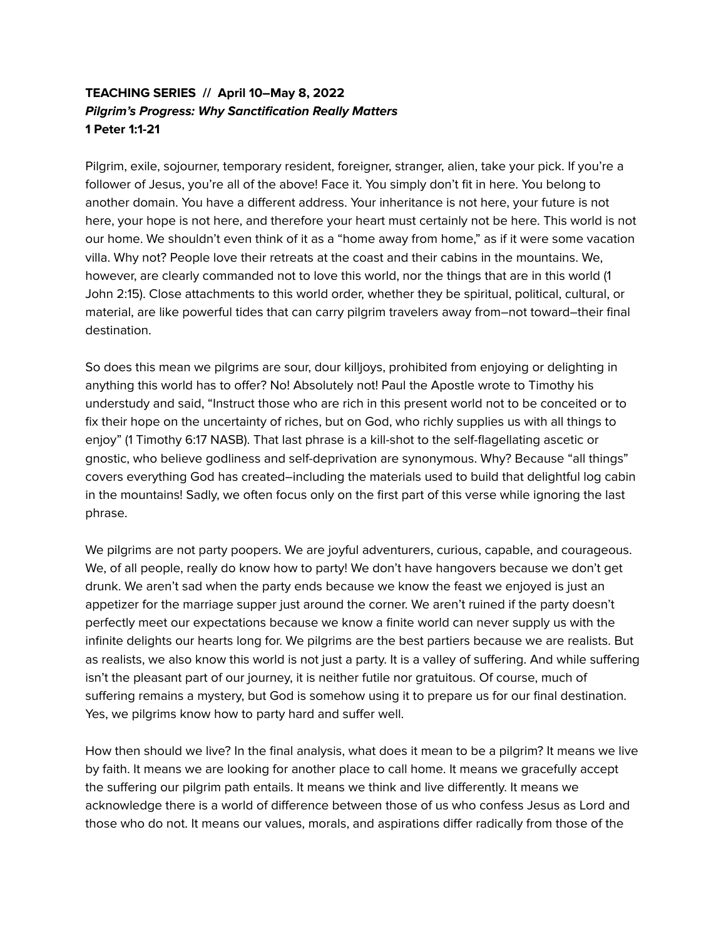# **TEACHING SERIES // April 10–May 8, 2022 Pilgrim's Progress: Why Sanctification Really Matters 1 Peter 1:1-21**

Pilgrim, exile, sojourner, temporary resident, foreigner, stranger, alien, take your pick. If you're a follower of Jesus, you're all of the above! Face it. You simply don't fit in here. You belong to another domain. You have a different address. Your inheritance is not here, your future is not here, your hope is not here, and therefore your heart must certainly not be here. This world is not our home. We shouldn't even think of it as a "home away from home," as if it were some vacation villa. Why not? People love their retreats at the coast and their cabins in the mountains. We, however, are clearly commanded not to love this world, nor the things that are in this world (1 John 2:15). Close attachments to this world order, whether they be spiritual, political, cultural, or material, are like powerful tides that can carry pilgrim travelers away from–not toward–their final destination.

So does this mean we pilgrims are sour, dour killjoys, prohibited from enjoying or delighting in anything this world has to offer? No! Absolutely not! Paul the Apostle wrote to Timothy his understudy and said, "Instruct those who are rich in this present world not to be conceited or to fix their hope on the uncertainty of riches, but on God, who richly supplies us with all things to enjoy" (1 Timothy 6:17 NASB). That last phrase is a kill-shot to the self-flagellating ascetic or gnostic, who believe godliness and self-deprivation are synonymous. Why? Because "all things" covers everything God has created–including the materials used to build that delightful log cabin in the mountains! Sadly, we often focus only on the first part of this verse while ignoring the last phrase.

We pilgrims are not party poopers. We are joyful adventurers, curious, capable, and courageous. We, of all people, really do know how to party! We don't have hangovers because we don't get drunk. We aren't sad when the party ends because we know the feast we enjoyed is just an appetizer for the marriage supper just around the corner. We aren't ruined if the party doesn't perfectly meet our expectations because we know a finite world can never supply us with the infinite delights our hearts long for. We pilgrims are the best partiers because we are realists. But as realists, we also know this world is not just a party. It is a valley of suffering. And while suffering isn't the pleasant part of our journey, it is neither futile nor gratuitous. Of course, much of suffering remains a mystery, but God is somehow using it to prepare us for our final destination. Yes, we pilgrims know how to party hard and suffer well.

How then should we live? In the final analysis, what does it mean to be a pilgrim? It means we live by faith. It means we are looking for another place to call home. It means we gracefully accept the suffering our pilgrim path entails. It means we think and live differently. It means we acknowledge there is a world of difference between those of us who confess Jesus as Lord and those who do not. It means our values, morals, and aspirations differ radically from those of the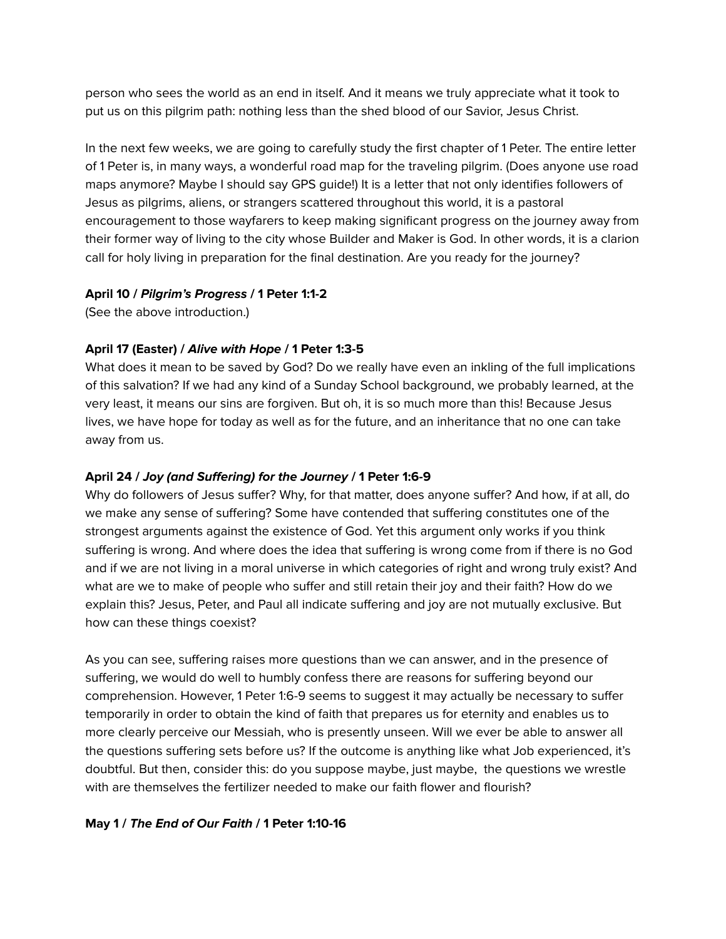person who sees the world as an end in itself. And it means we truly appreciate what it took to put us on this pilgrim path: nothing less than the shed blood of our Savior, Jesus Christ.

In the next few weeks, we are going to carefully study the first chapter of 1 Peter. The entire letter of 1 Peter is, in many ways, a wonderful road map for the traveling pilgrim. (Does anyone use road maps anymore? Maybe I should say GPS guide!) It is a letter that not only identifies followers of Jesus as pilgrims, aliens, or strangers scattered throughout this world, it is a pastoral encouragement to those wayfarers to keep making significant progress on the journey away from their former way of living to the city whose Builder and Maker is God. In other words, it is a clarion call for holy living in preparation for the final destination. Are you ready for the journey?

### **April 10 / Pilgrim's Progress / 1 Peter 1:1-2**

(See the above introduction.)

## **April 17 (Easter) / Alive with Hope / 1 Peter 1:3-5**

What does it mean to be saved by God? Do we really have even an inkling of the full implications of this salvation? If we had any kind of a Sunday School background, we probably learned, at the very least, it means our sins are forgiven. But oh, it is so much more than this! Because Jesus lives, we have hope for today as well as for the future, and an inheritance that no one can take away from us.

## **April 24 / Joy (and Suffering) for the Journey / 1 Peter 1:6-9**

Why do followers of Jesus suffer? Why, for that matter, does anyone suffer? And how, if at all, do we make any sense of suffering? Some have contended that suffering constitutes one of the strongest arguments against the existence of God. Yet this argument only works if you think suffering is wrong. And where does the idea that suffering is wrong come from if there is no God and if we are not living in a moral universe in which categories of right and wrong truly exist? And what are we to make of people who suffer and still retain their joy and their faith? How do we explain this? Jesus, Peter, and Paul all indicate suffering and joy are not mutually exclusive. But how can these things coexist?

As you can see, suffering raises more questions than we can answer, and in the presence of suffering, we would do well to humbly confess there are reasons for suffering beyond our comprehension. However, 1 Peter 1:6-9 seems to suggest it may actually be necessary to suffer temporarily in order to obtain the kind of faith that prepares us for eternity and enables us to more clearly perceive our Messiah, who is presently unseen. Will we ever be able to answer all the questions suffering sets before us? If the outcome is anything like what Job experienced, it's doubtful. But then, consider this: do you suppose maybe, just maybe, the questions we wrestle with are themselves the fertilizer needed to make our faith flower and flourish?

## **May 1 / The End of Our Faith / 1 Peter 1:10-16**